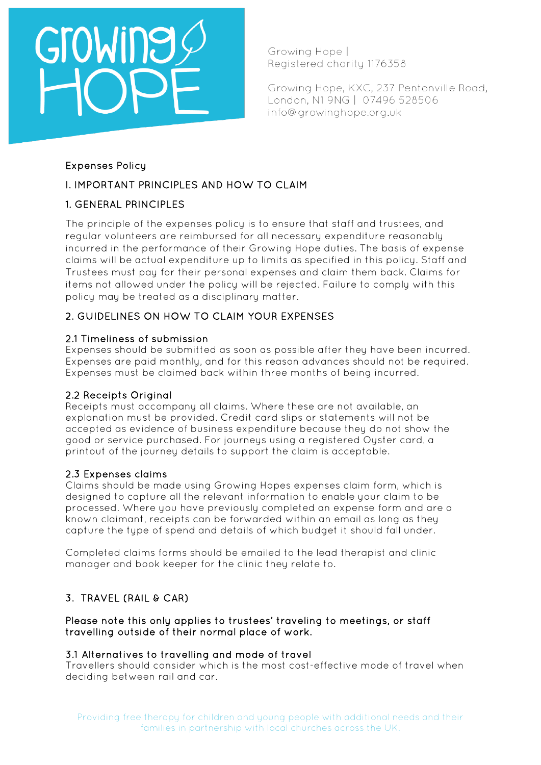# GroWing

Growing Hope I Registered charity 1176358

Growing Hope, KXC, 237 Pentonville Road, London, N1 9NG | 07496 528506 info@growinghope.org.uk

# Expenses Policy

# I. IMPORTANT PRINCIPLES AND HOW TO CLAIM

# 1. GENERAL PRINCIPLES

The principle of the expenses policy is to ensure that staff and trustees, and regular volunteers are reimbursed for all necessary expenditure reasonably incurred in the performance of their Growing Hope duties. The basis of expense claims will be actual expenditure up to limits as specified in this policy. Staff and Trustees must pay for their personal expenses and claim them back. Claims for items not allowed under the policy will be rejected. Failure to comply with this policy may be treated as a disciplinary matter.

# 2. GUIDELINES ON HOW TO CLAIM YOUR EXPENSES

# 2.1 Timeliness of submission

Expenses should be submitted as soon as possible after they have been incurred. Expenses are paid monthly, and for this reason advances should not be required. Expenses must be claimed back within three months of being incurred.

# 2.2 Receipts Original

Receipts must accompany all claims. Where these are not available, an explanation must be provided. Credit card slips or statements will not be accepted as evidence of business expenditure because they do not show the good or service purchased. For journeys using a registered Oyster card, a printout of the journey details to support the claim is acceptable.

### 2.3 Expenses claims

Claims should be made using Growing Hopes expenses claim form, which is designed to capture all the relevant information to enable your claim to be processed. Where you have previously completed an expense form and are a known claimant, receipts can be forwarded within an email as long as they capture the type of spend and details of which budget it should fall under.

Completed claims forms should be emailed to the lead therapist and clinic manager and book keeper for the clinic they relate to.

# 3. TRAVEL (RAIL & CAR)

### Please note this only applies to trustees' traveling to meetings, or staff travelling outside of their normal place of work.

### 3.1 Alternatives to travelling and mode of travel

Travellers should consider which is the most cost-effective mode of travel when deciding between rail and car.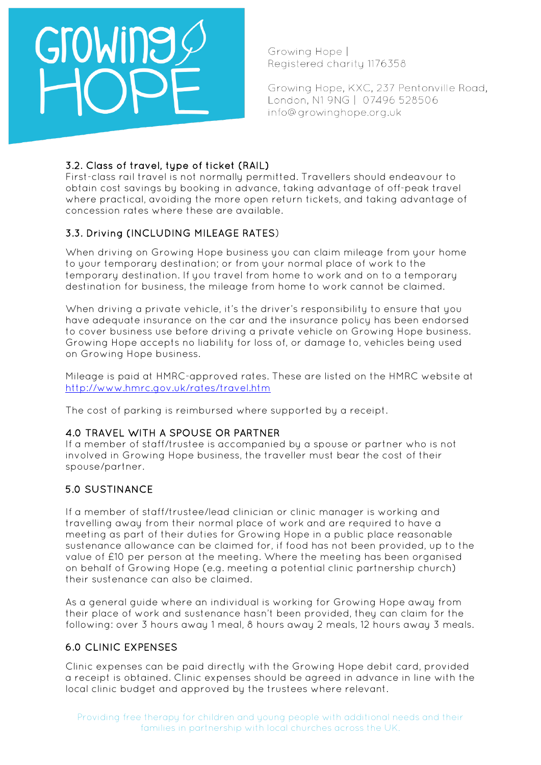

Growing Hope I Reaistered charity 1176358

Growing Hope, KXC, 237 Pentonville Road, London, N1 9NG | 07496 528506 info@growinghope.org.uk

### 3.2. Class of travel, type of ticket (RAIL)

First-class rail travel is not normally permitted. Travellers should endeavour to obtain cost savings by booking in advance, taking advantage of off-peak travel where practical, avoiding the more open return tickets, and taking advantage of concession rates where these are available.

# 3.3. Driving (INCLUDING MILEAGE RATES)

When driving on Growing Hope business you can claim mileage from your home to your temporary destination; or from your normal place of work to the temporary destination. If you travel from home to work and on to a temporary destination for business, the mileage from home to work cannot be claimed.

When driving a private vehicle, it's the driver's responsibility to ensure that you have adequate insurance on the car and the insurance policy has been endorsed to cover business use before driving a private vehicle on Growing Hope business. Growing Hope accepts no liability for loss of, or damage to, vehicles being used on Growing Hope business.

Mileage is paid at HMRC-approved rates. These are listed on the HMRC website at <http://www.hmrc.gov.uk/rates/travel.htm>

The cost of parking is reimbursed where supported by a receipt.

### 4.0 TRAVEL WITH A SPOUSE OR PARTNER

If a member of staff/trustee is accompanied by a spouse or partner who is not involved in Growing Hope business, the traveller must bear the cost of their spouse/partner.

### 5.0 SUSTINANCE

If a member of staff/trustee/lead clinician or clinic manager is working and travelling away from their normal place of work and are required to have a meeting as part of their duties for Growing Hope in a public place reasonable sustenance allowance can be claimed for, if food has not been provided, up to the value of £10 per person at the meeting. Where the meeting has been organised on behalf of Growing Hope (e.g. meeting a potential clinic partnership church) their sustenance can also be claimed.

As a general guide where an individual is working for Growing Hope away from their place of work and sustenance hasn't been provided, they can claim for the following: over 3 hours away 1 meal, 8 hours away 2 meals, 12 hours away 3 meals.

### 6.0 CLINIC EXPENSES

Clinic expenses can be paid directly with the Growing Hope debit card, provided a receipt is obtained. Clinic expenses should be agreed in advance in line with the local clinic budget and approved by the trustees where relevant.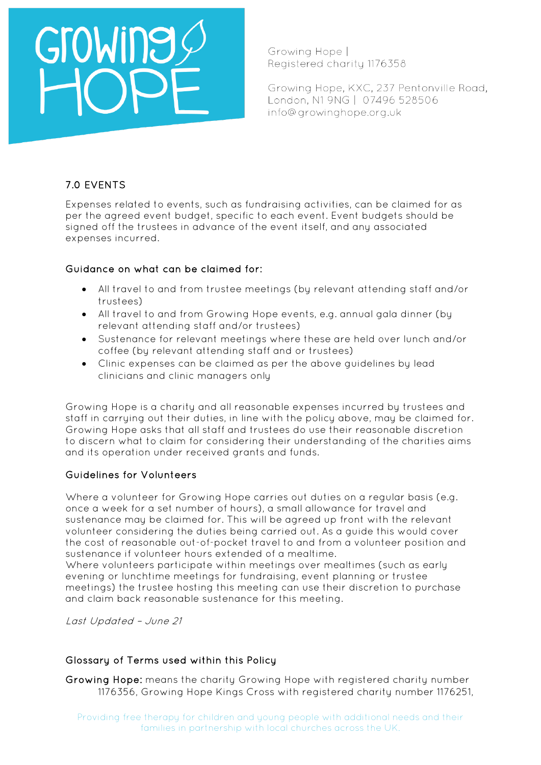

Growing Hope I Registered charity 1176358

Growing Hope, KXC, 237 Pentonville Road, London, N1 9NG | 07496 528506 info@growinghope.org.uk

# 7.0 EVENTS

Expenses related to events, such as fundraising activities, can be claimed for as per the agreed event budget, specific to each event. Event budgets should be signed off the trustees in advance of the event itself, and any associated expenses incurred.

### Guidance on what can be claimed for:

- All travel to and from trustee meetings (by relevant attending staff and/or trustees)
- All travel to and from Growing Hope events, e.g. annual gala dinner (by relevant attending staff and/or trustees)
- Sustenance for relevant meetings where these are held over lunch and/or coffee (by relevant attending staff and or trustees)
- Clinic expenses can be claimed as per the above guidelines by lead clinicians and clinic managers only

Growing Hope is a charity and all reasonable expenses incurred by trustees and staff in carrying out their duties, in line with the policy above, may be claimed for. Growing Hope asks that all staff and trustees do use their reasonable discretion to discern what to claim for considering their understanding of the charities aims and its operation under received grants and funds.

### Guidelines for Volunteers

Where a volunteer for Growing Hope carries out duties on a regular basis (e.g. once a week for a set number of hours), a small allowance for travel and sustenance may be claimed for. This will be agreed up front with the relevant volunteer considering the duties being carried out. As a guide this would cover the cost of reasonable out-of-pocket travel to and from a volunteer position and sustenance if volunteer hours extended of a mealtime.

Where volunteers participate within meetings over mealtimes (such as early evening or lunchtime meetings for fundraising, event planning or trustee meetings) the trustee hosting this meeting can use their discretion to purchase and claim back reasonable sustenance for this meeting.

Last Updated – June 21

### Glossary of Terms used within this Policy

Growing Hope: means the charity Growing Hope with registered charity number 1176356, Growing Hope Kings Cross with registered charity number 1176251,